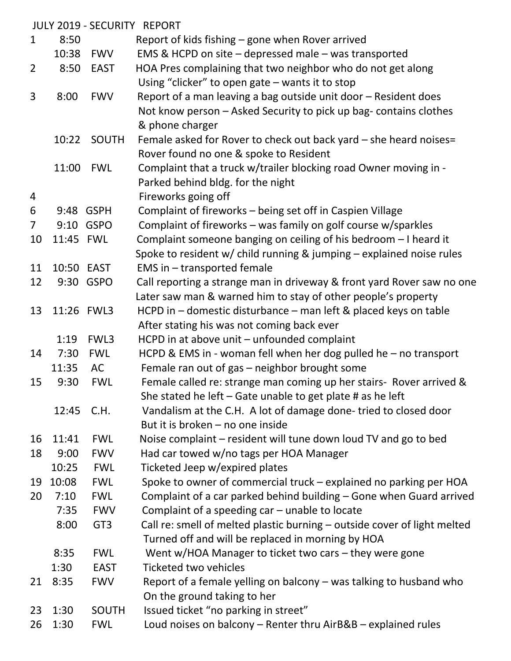|                |            |                 | <b>JULY 2019 - SECURITY REPORT</b>                                        |
|----------------|------------|-----------------|---------------------------------------------------------------------------|
| $\mathbf{1}$   | 8:50       |                 | Report of kids fishing – gone when Rover arrived                          |
|                | 10:38      | FWV             | EMS & HCPD on site $-$ depressed male $-$ was transported                 |
| $\overline{2}$ | 8:50       | <b>EAST</b>     | HOA Pres complaining that two neighbor who do not get along               |
|                |            |                 | Using "clicker" to open gate $-$ wants it to stop                         |
| 3              | 8:00       | <b>FWV</b>      | Report of a man leaving a bag outside unit door – Resident does           |
|                |            |                 | Not know person - Asked Security to pick up bag- contains clothes         |
|                |            |                 | & phone charger                                                           |
|                | 10:22      | <b>SOUTH</b>    | Female asked for Rover to check out back yard - she heard noises=         |
|                |            |                 | Rover found no one & spoke to Resident                                    |
|                | 11:00      | <b>FWL</b>      | Complaint that a truck w/trailer blocking road Owner moving in -          |
|                |            |                 | Parked behind bldg. for the night                                         |
| 4              |            |                 | Fireworks going off                                                       |
| 6              |            | 9:48 GSPH       | Complaint of fireworks - being set off in Caspien Village                 |
| $\overline{7}$ |            | 9:10 GSPO       | Complaint of fireworks - was family on golf course w/sparkles             |
| 10             | 11:45 FWL  |                 | Complaint someone banging on ceiling of his bedroom - I heard it          |
|                |            |                 | Spoke to resident w/ child running $\&$ jumping $-$ explained noise rules |
| 11             | 10:50 EAST |                 | EMS in - transported female                                               |
| 12             |            | 9:30 GSPO       | Call reporting a strange man in driveway & front yard Rover saw no one    |
|                |            |                 | Later saw man & warned him to stay of other people's property             |
| 13             |            | 11:26 FWL3      | HCPD in - domestic disturbance - man left & placed keys on table          |
|                |            |                 | After stating his was not coming back ever                                |
|                | 1:19       | FWL3            | HCPD in at above unit - unfounded complaint                               |
| 14             | 7:30       | <b>FWL</b>      | HCPD & EMS in - woman fell when her dog pulled he - no transport          |
|                | 11:35      | AC              | Female ran out of gas - neighbor brought some                             |
| 15             | 9:30       | <b>FWL</b>      | Female called re: strange man coming up her stairs- Rover arrived &       |
|                |            |                 | She stated he left – Gate unable to get plate # as he left                |
|                | 12:45      | C.H.            | Vandalism at the C.H. A lot of damage done-tried to closed door           |
|                |            |                 | But it is broken - no one inside                                          |
| 16             | 11:41      | <b>FWL</b>      | Noise complaint - resident will tune down loud TV and go to bed           |
| 18             | 9:00       | <b>FWV</b>      | Had car towed w/no tags per HOA Manager                                   |
|                | 10:25      | <b>FWL</b>      | Ticketed Jeep w/expired plates                                            |
| 19             | 10:08      | <b>FWL</b>      | Spoke to owner of commercial truck – explained no parking per HOA         |
| 20             | 7:10       | <b>FWL</b>      | Complaint of a car parked behind building - Gone when Guard arrived       |
|                | 7:35       | <b>FWV</b>      | Complaint of a speeding car - unable to locate                            |
|                | 8:00       | GT <sub>3</sub> | Call re: smell of melted plastic burning - outside cover of light melted  |
|                |            |                 | Turned off and will be replaced in morning by HOA                         |
|                | 8:35       | <b>FWL</b>      | Went w/HOA Manager to ticket two cars - they were gone                    |
|                | 1:30       | <b>EAST</b>     | <b>Ticketed two vehicles</b>                                              |
| 21             | 8:35       | <b>FWV</b>      | Report of a female yelling on balcony – was talking to husband who        |
|                |            |                 | On the ground taking to her                                               |
| 23             | 1:30       | <b>SOUTH</b>    | Issued ticket "no parking in street"                                      |
| 26             | 1:30       | <b>FWL</b>      | Loud noises on balcony - Renter thru AirB&B - explained rules             |